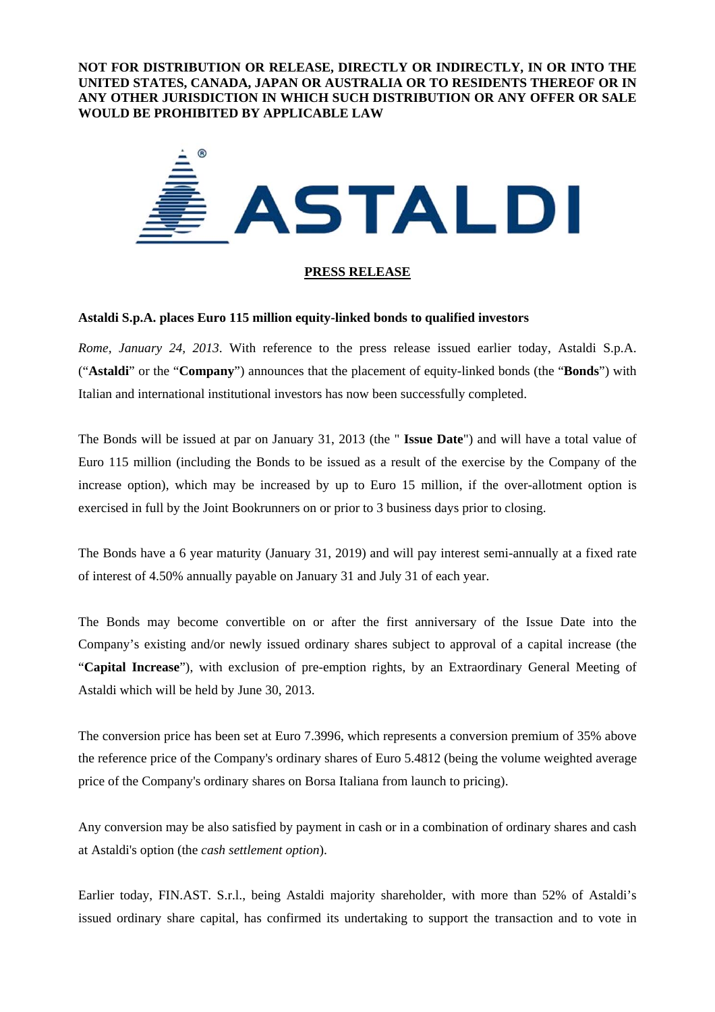**NOT FOR DISTRIBUTION OR RELEASE, DIRECTLY OR INDIRECTLY, IN OR INTO THE UNITED STATES, CANADA, JAPAN OR AUSTRALIA OR TO RESIDENTS THEREOF OR IN ANY OTHER JURISDICTION IN WHICH SUCH DISTRIBUTION OR ANY OFFER OR SALE WOULD BE PROHIBITED BY APPLICABLE LAW** 



## **PRESS RELEASE**

## **Astaldi S.p.A. places Euro 115 million equity-linked bonds to qualified investors**

*Rome, January 24, 2013*. With reference to the press release issued earlier today, Astaldi S.p.A. ("**Astaldi**" or the "**Company**") announces that the placement of equity-linked bonds (the "**Bonds**") with Italian and international institutional investors has now been successfully completed.

The Bonds will be issued at par on January 31, 2013 (the " **Issue Date**") and will have a total value of Euro 115 million (including the Bonds to be issued as a result of the exercise by the Company of the increase option), which may be increased by up to Euro 15 million, if the over-allotment option is exercised in full by the Joint Bookrunners on or prior to 3 business days prior to closing.

The Bonds have a 6 year maturity (January 31, 2019) and will pay interest semi-annually at a fixed rate of interest of 4.50% annually payable on January 31 and July 31 of each year.

The Bonds may become convertible on or after the first anniversary of the Issue Date into the Company's existing and/or newly issued ordinary shares subject to approval of a capital increase (the "**Capital Increase**"), with exclusion of pre-emption rights, by an Extraordinary General Meeting of Astaldi which will be held by June 30, 2013.

The conversion price has been set at Euro 7.3996, which represents a conversion premium of 35% above the reference price of the Company's ordinary shares of Euro 5.4812 (being the volume weighted average price of the Company's ordinary shares on Borsa Italiana from launch to pricing).

Any conversion may be also satisfied by payment in cash or in a combination of ordinary shares and cash at Astaldi's option (the *cash settlement option*).

Earlier today, FIN.AST. S.r.l., being Astaldi majority shareholder, with more than 52% of Astaldi's issued ordinary share capital, has confirmed its undertaking to support the transaction and to vote in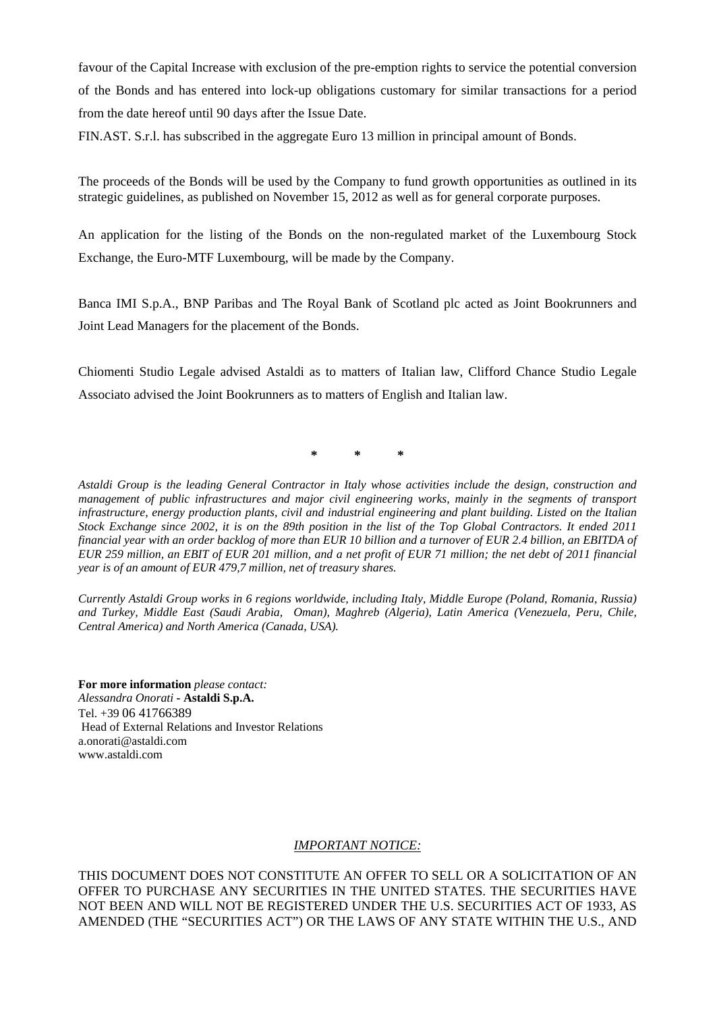favour of the Capital Increase with exclusion of the pre-emption rights to service the potential conversion of the Bonds and has entered into lock-up obligations customary for similar transactions for a period from the date hereof until 90 days after the Issue Date.

FIN.AST. S.r.l. has subscribed in the aggregate Euro 13 million in principal amount of Bonds.

The proceeds of the Bonds will be used by the Company to fund growth opportunities as outlined in its strategic guidelines, as published on November 15, 2012 as well as for general corporate purposes.

An application for the listing of the Bonds on the non-regulated market of the Luxembourg Stock Exchange, the Euro-MTF Luxembourg, will be made by the Company.

Banca IMI S.p.A., BNP Paribas and The Royal Bank of Scotland plc acted as Joint Bookrunners and Joint Lead Managers for the placement of the Bonds.

Chiomenti Studio Legale advised Astaldi as to matters of Italian law, Clifford Chance Studio Legale Associato advised the Joint Bookrunners as to matters of English and Italian law.

**\* \* \*** 

*Astaldi Group is the leading General Contractor in Italy whose activities include the design, construction and management of public infrastructures and major civil engineering works, mainly in the segments of transport infrastructure, energy production plants, civil and industrial engineering and plant building. Listed on the Italian Stock Exchange since 2002, it is on the 89th position in the list of the Top Global Contractors. It ended 2011 financial year with an order backlog of more than EUR 10 billion and a turnover of EUR 2.4 billion, an EBITDA of EUR 259 million, an EBIT of EUR 201 million, and a net profit of EUR 71 million; the net debt of 2011 financial year is of an amount of EUR 479,7 million, net of treasury shares.* 

*Currently Astaldi Group works in 6 regions worldwide, including Italy, Middle Europe (Poland, Romania, Russia) and Turkey, Middle East (Saudi Arabia, Oman), Maghreb (Algeria), Latin America (Venezuela, Peru, Chile, Central America) and North America (Canada, USA).*

**For more information** *please contact: Alessandra Onorati* **- Astaldi S.p.A.**  Tel. +39 06 41766389 Head of External Relations and Investor Relations a.onorati@astaldi.com www.astaldi.com

# *IMPORTANT NOTICE:*

THIS DOCUMENT DOES NOT CONSTITUTE AN OFFER TO SELL OR A SOLICITATION OF AN OFFER TO PURCHASE ANY SECURITIES IN THE UNITED STATES. THE SECURITIES HAVE NOT BEEN AND WILL NOT BE REGISTERED UNDER THE U.S. SECURITIES ACT OF 1933, AS AMENDED (THE "SECURITIES ACT") OR THE LAWS OF ANY STATE WITHIN THE U.S., AND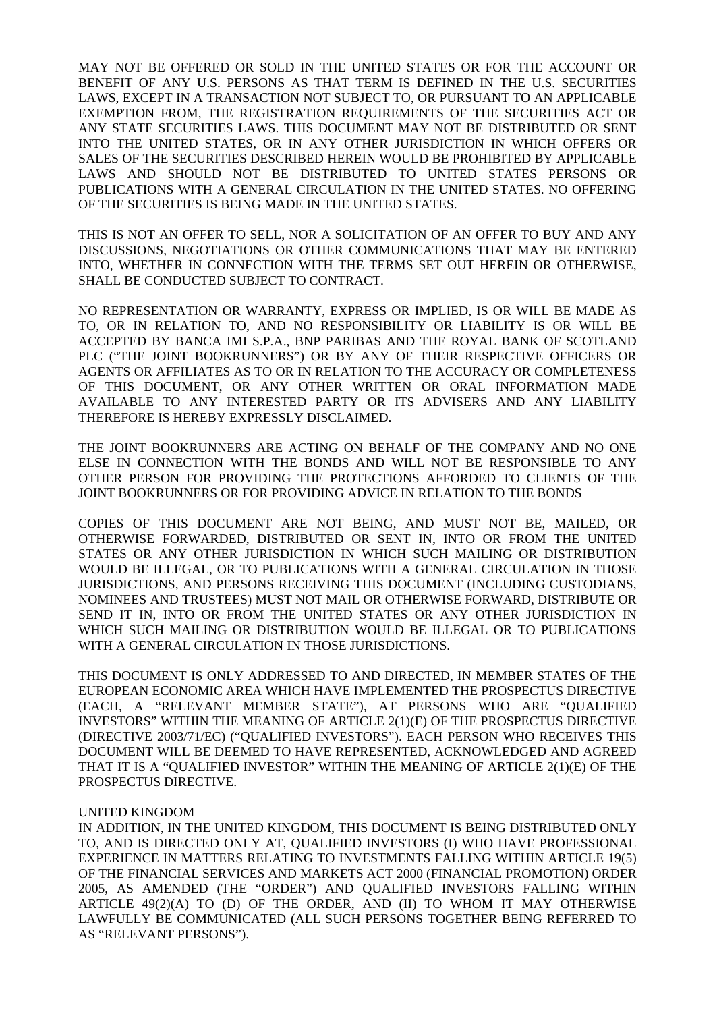MAY NOT BE OFFERED OR SOLD IN THE UNITED STATES OR FOR THE ACCOUNT OR BENEFIT OF ANY U.S. PERSONS AS THAT TERM IS DEFINED IN THE U.S. SECURITIES LAWS, EXCEPT IN A TRANSACTION NOT SUBJECT TO, OR PURSUANT TO AN APPLICABLE EXEMPTION FROM, THE REGISTRATION REQUIREMENTS OF THE SECURITIES ACT OR ANY STATE SECURITIES LAWS. THIS DOCUMENT MAY NOT BE DISTRIBUTED OR SENT INTO THE UNITED STATES, OR IN ANY OTHER JURISDICTION IN WHICH OFFERS OR SALES OF THE SECURITIES DESCRIBED HEREIN WOULD BE PROHIBITED BY APPLICABLE LAWS AND SHOULD NOT BE DISTRIBUTED TO UNITED STATES PERSONS OR PUBLICATIONS WITH A GENERAL CIRCULATION IN THE UNITED STATES. NO OFFERING OF THE SECURITIES IS BEING MADE IN THE UNITED STATES.

THIS IS NOT AN OFFER TO SELL, NOR A SOLICITATION OF AN OFFER TO BUY AND ANY DISCUSSIONS, NEGOTIATIONS OR OTHER COMMUNICATIONS THAT MAY BE ENTERED INTO, WHETHER IN CONNECTION WITH THE TERMS SET OUT HEREIN OR OTHERWISE, SHALL BE CONDUCTED SUBJECT TO CONTRACT.

NO REPRESENTATION OR WARRANTY, EXPRESS OR IMPLIED, IS OR WILL BE MADE AS TO, OR IN RELATION TO, AND NO RESPONSIBILITY OR LIABILITY IS OR WILL BE ACCEPTED BY BANCA IMI S.P.A., BNP PARIBAS AND THE ROYAL BANK OF SCOTLAND PLC ("THE JOINT BOOKRUNNERS") OR BY ANY OF THEIR RESPECTIVE OFFICERS OR AGENTS OR AFFILIATES AS TO OR IN RELATION TO THE ACCURACY OR COMPLETENESS OF THIS DOCUMENT, OR ANY OTHER WRITTEN OR ORAL INFORMATION MADE AVAILABLE TO ANY INTERESTED PARTY OR ITS ADVISERS AND ANY LIABILITY THEREFORE IS HEREBY EXPRESSLY DISCLAIMED.

THE JOINT BOOKRUNNERS ARE ACTING ON BEHALF OF THE COMPANY AND NO ONE ELSE IN CONNECTION WITH THE BONDS AND WILL NOT BE RESPONSIBLE TO ANY OTHER PERSON FOR PROVIDING THE PROTECTIONS AFFORDED TO CLIENTS OF THE JOINT BOOKRUNNERS OR FOR PROVIDING ADVICE IN RELATION TO THE BONDS

COPIES OF THIS DOCUMENT ARE NOT BEING, AND MUST NOT BE, MAILED, OR OTHERWISE FORWARDED, DISTRIBUTED OR SENT IN, INTO OR FROM THE UNITED STATES OR ANY OTHER JURISDICTION IN WHICH SUCH MAILING OR DISTRIBUTION WOULD BE ILLEGAL, OR TO PUBLICATIONS WITH A GENERAL CIRCULATION IN THOSE JURISDICTIONS, AND PERSONS RECEIVING THIS DOCUMENT (INCLUDING CUSTODIANS, NOMINEES AND TRUSTEES) MUST NOT MAIL OR OTHERWISE FORWARD, DISTRIBUTE OR SEND IT IN, INTO OR FROM THE UNITED STATES OR ANY OTHER JURISDICTION IN WHICH SUCH MAILING OR DISTRIBUTION WOULD BE ILLEGAL OR TO PUBLICATIONS WITH A GENERAL CIRCULATION IN THOSE JURISDICTIONS.

THIS DOCUMENT IS ONLY ADDRESSED TO AND DIRECTED, IN MEMBER STATES OF THE EUROPEAN ECONOMIC AREA WHICH HAVE IMPLEMENTED THE PROSPECTUS DIRECTIVE (EACH, A "RELEVANT MEMBER STATE"), AT PERSONS WHO ARE "QUALIFIED INVESTORS" WITHIN THE MEANING OF ARTICLE 2(1)(E) OF THE PROSPECTUS DIRECTIVE (DIRECTIVE 2003/71/EC) ("QUALIFIED INVESTORS"). EACH PERSON WHO RECEIVES THIS DOCUMENT WILL BE DEEMED TO HAVE REPRESENTED, ACKNOWLEDGED AND AGREED THAT IT IS A "QUALIFIED INVESTOR" WITHIN THE MEANING OF ARTICLE 2(1)(E) OF THE PROSPECTUS DIRECTIVE.

### UNITED KINGDOM

IN ADDITION, IN THE UNITED KINGDOM, THIS DOCUMENT IS BEING DISTRIBUTED ONLY TO, AND IS DIRECTED ONLY AT, QUALIFIED INVESTORS (I) WHO HAVE PROFESSIONAL EXPERIENCE IN MATTERS RELATING TO INVESTMENTS FALLING WITHIN ARTICLE 19(5) OF THE FINANCIAL SERVICES AND MARKETS ACT 2000 (FINANCIAL PROMOTION) ORDER 2005, AS AMENDED (THE "ORDER") AND QUALIFIED INVESTORS FALLING WITHIN ARTICLE 49(2)(A) TO (D) OF THE ORDER, AND (II) TO WHOM IT MAY OTHERWISE LAWFULLY BE COMMUNICATED (ALL SUCH PERSONS TOGETHER BEING REFERRED TO AS "RELEVANT PERSONS").